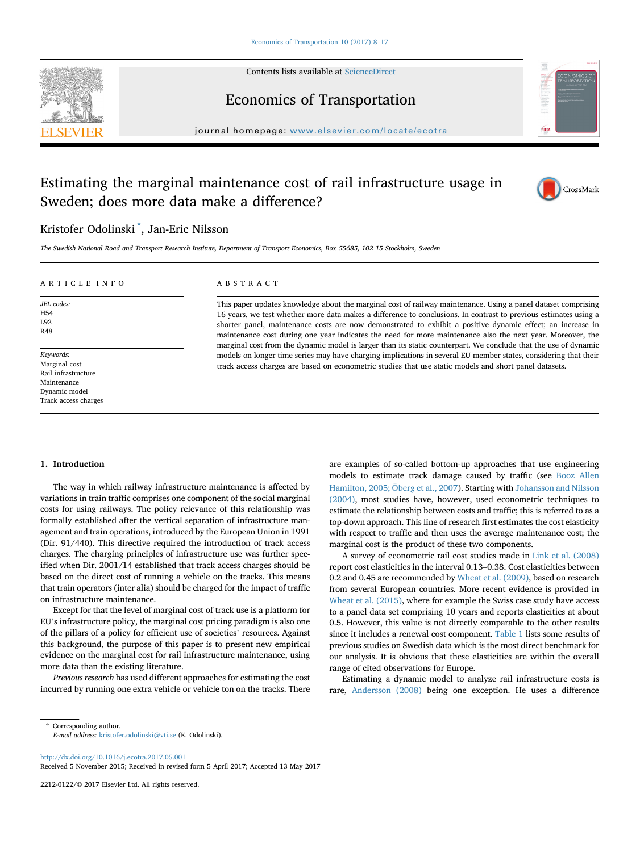

Contents lists available at [ScienceDirect](www.sciencedirect.com/science/journal/22120122)

# Economics of Transportation



 $j$ ovate:  $\alpha$  homepage: [www.elsevier.com/locate/ecotra](http://www.elsevier.com/locate/ecotra)cte/ecotracte/ecotracte/eco

## Estimating the marginal maintenance cost of rail infrastructure usage in Sweden; does more data make a difference?



### Kristofer Odolinski \* , Jan-Eric Nilsson

The Swedish National Road and Transport Research Institute, Department of Transport Economics, Box 55685, 102 15 Stockholm, Sweden

#### ARTICLE INFO

#### ABSTRACT

JEL codes: H54 L92 R48

Keywords: Marginal cost Rail infrastructure Maintenance Dynamic model Track access charges This paper updates knowledge about the marginal cost of railway maintenance. Using a panel dataset comprising 16 years, we test whether more data makes a difference to conclusions. In contrast to previous estimates using a shorter panel, maintenance costs are now demonstrated to exhibit a positive dynamic effect; an increase in maintenance cost during one year indicates the need for more maintenance also the next year. Moreover, the marginal cost from the dynamic model is larger than its static counterpart. We conclude that the use of dynamic models on longer time series may have charging implications in several EU member states, considering that their track access charges are based on econometric studies that use static models and short panel datasets.

#### 1. Introduction

The way in which railway infrastructure maintenance is affected by variations in train traffic comprises one component of the social marginal costs for using railways. The policy relevance of this relationship was formally established after the vertical separation of infrastructure management and train operations, introduced by the European Union in 1991 (Dir. 91/440). This directive required the introduction of track access charges. The charging principles of infrastructure use was further specified when Dir. 2001/14 established that track access charges should be based on the direct cost of running a vehicle on the tracks. This means that train operators (inter alia) should be charged for the impact of traffic on infrastructure maintenance.

Except for that the level of marginal cost of track use is a platform for EU's infrastructure policy, the marginal cost pricing paradigm is also one of the pillars of a policy for efficient use of societies' resources. Against this background, the purpose of this paper is to present new empirical evidence on the marginal cost for rail infrastructure maintenance, using more data than the existing literature.

Previous research has used different approaches for estimating the cost incurred by running one extra vehicle or vehicle ton on the tracks. There are examples of so-called bottom-up approaches that use engineering models to estimate track damage caused by traffic (see Booz Allen Hamilton, 2005; Öberg et al., 2007). Starting with Johansson and Nilsson (2004), most studies have, however, used econometric techniques to estimate the relationship between costs and traffic; this is referred to as a top-down approach. This line of research first estimates the cost elasticity with respect to traffic and then uses the average maintenance cost; the marginal cost is the product of these two components.

A survey of econometric rail cost studies made in Link et al. (2008) report cost elasticities in the interval 0.13–0.38. Cost elasticities between 0.2 and 0.45 are recommended by Wheat et al. (2009), based on research from several European countries. More recent evidence is provided in Wheat et al. (2015), where for example the Swiss case study have access to a panel data set comprising 10 years and reports elasticities at about 0.5. However, this value is not directly comparable to the other results since it includes a renewal cost component. Table 1 lists some results of previous studies on Swedish data which is the most direct benchmark for our analysis. It is obvious that these elasticities are within the overall range of cited observations for Europe.

Estimating a dynamic model to analyze rail infrastructure costs is rare, Andersson (2008) being one exception. He uses a difference

<http://dx.doi.org/10.1016/j.ecotra.2017.05.001>

Received 5 November 2015; Received in revised form 5 April 2017; Accepted 13 May 2017

2212-0122/© 2017 Elsevier Ltd. All rights reserved.

<sup>\*</sup> Corresponding author. E-mail address: [kristofer.odolinski@vti.se](mailto:kristofer.odolinski@vti.se) (K. Odolinski).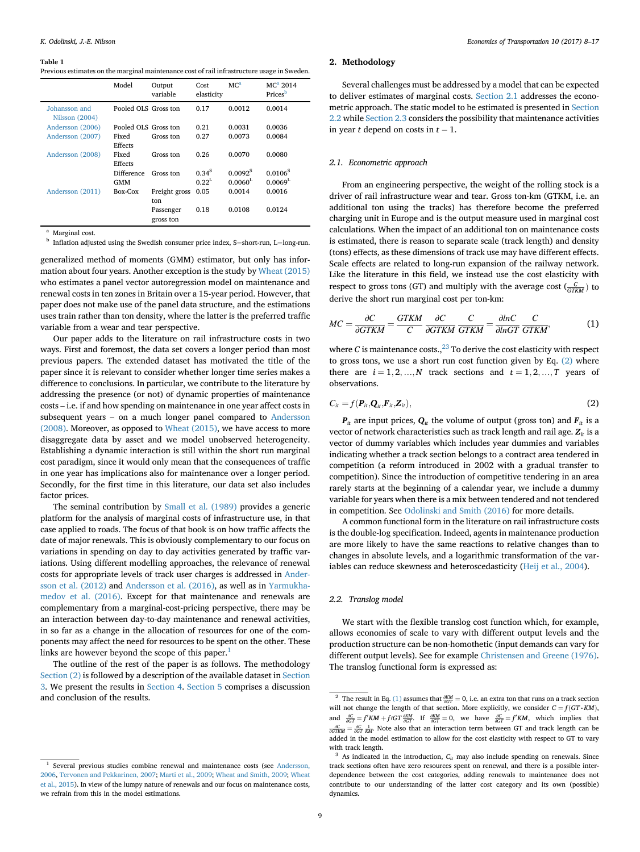#### Table 1

|  |  |  |  |  |  |  | Previous estimates on the marginal maintenance cost of rail infrastructure usage in Sweden. |  |  |
|--|--|--|--|--|--|--|---------------------------------------------------------------------------------------------|--|--|
|--|--|--|--|--|--|--|---------------------------------------------------------------------------------------------|--|--|

|                                 | Model                | Output<br>variable | Cost<br>elasticity | MC <sup>a</sup>     | $MCa$ 2014<br>Prices <sup>b</sup> |
|---------------------------------|----------------------|--------------------|--------------------|---------------------|-----------------------------------|
| Johansson and<br>Nilsson (2004) | Pooled OLS Gross ton |                    | 0.17               | 0.0012              | 0.0014                            |
| Andersson (2006)                | Pooled OLS Gross ton |                    | 0.21               | 0.0031              | 0.0036                            |
| Andersson (2007)                | Fixed                | Gross ton          | 0.27               | 0.0073              | 0.0084                            |
|                                 | Effects              |                    |                    |                     |                                   |
| Andersson (2008)                | Fixed                | Gross ton          | 0.26               | 0.0070              | 0.0080                            |
|                                 | Effects              |                    |                    |                     |                                   |
|                                 | <b>Difference</b>    | Gross ton          | $0.34^{S}$         | 0.0092 <sup>S</sup> | 0.0106 <sup>S</sup>               |
|                                 | <b>GMM</b>           |                    | $0.22^L$           | 0.0060 <sup>L</sup> | 0.0069 <sup>L</sup>               |
| Andersson (2011)                | Box-Cox              | Freight gross      | 0.05               | 0.0014              | 0.0016                            |
|                                 |                      | ton                |                    |                     |                                   |
|                                 |                      | Passenger          | 0.18               | 0.0108              | 0.0124                            |
|                                 |                      | gross ton          |                    |                     |                                   |

<sup>&</sup>lt;sup>a</sup> Marginal cost.

 $<sup>b</sup>$  Inflation adjusted using the Swedish consumer price index, S=short-run, L=long-run.</sup>

generalized method of moments (GMM) estimator, but only has information about four years. Another exception is the study by Wheat (2015) who estimates a panel vector autoregression model on maintenance and renewal costs in ten zones in Britain over a 15-year period. However, that paper does not make use of the panel data structure, and the estimations uses train rather than ton density, where the latter is the preferred traffic variable from a wear and tear perspective.

Our paper adds to the literature on rail infrastructure costs in two ways. First and foremost, the data set covers a longer period than most previous papers. The extended dataset has motivated the title of the paper since it is relevant to consider whether longer time series makes a difference to conclusions. In particular, we contribute to the literature by addressing the presence (or not) of dynamic properties of maintenance costs – i.e. if and how spending on maintenance in one year affect costs in subsequent years – on a much longer panel compared to Andersson (2008). Moreover, as opposed to Wheat (2015), we have access to more disaggregate data by asset and we model unobserved heterogeneity. Establishing a dynamic interaction is still within the short run marginal cost paradigm, since it would only mean that the consequences of traffic in one year has implications also for maintenance over a longer period. Secondly, for the first time in this literature, our data set also includes factor prices.

The seminal contribution by Small et al. (1989) provides a generic platform for the analysis of marginal costs of infrastructure use, in that case applied to roads. The focus of that book is on how traffic affects the date of major renewals. This is obviously complementary to our focus on variations in spending on day to day activities generated by traffic variations. Using different modelling approaches, the relevance of renewal costs for appropriate levels of track user charges is addressed in Andersson et al. (2012) and Andersson et al. (2016), as well as in Yarmukhamedov et al. (2016). Except for that maintenance and renewals are complementary from a marginal-cost-pricing perspective, there may be an interaction between day-to-day maintenance and renewal activities, in so far as a change in the allocation of resources for one of the components may affect the need for resources to be spent on the other. These links are however beyond the scope of this paper. $<sup>1</sup>$ </sup>

The outline of the rest of the paper is as follows. The methodology Section (2) is followed by a description of the available dataset in Section 3. We present the results in Section 4. Section 5 comprises a discussion and conclusion of the results.

#### 2. Methodology

Several challenges must be addressed by a model that can be expected to deliver estimates of marginal costs. Section 2.1 addresses the econometric approach. The static model to be estimated is presented in Section 2.2 while Section 2.3 considers the possibility that maintenance activities in year t depend on costs in  $t - 1$ .

#### 2.1. Econometric approach

From an engineering perspective, the weight of the rolling stock is a driver of rail infrastructure wear and tear. Gross ton-km (GTKM, i.e. an additional ton using the tracks) has therefore become the preferred charging unit in Europe and is the output measure used in marginal cost calculations. When the impact of an additional ton on maintenance costs is estimated, there is reason to separate scale (track length) and density (tons) effects, as these dimensions of track use may have different effects. Scale effects are related to long-run expansion of the railway network. Like the literature in this field, we instead use the cost elasticity with respect to gross tons (GT) and multiply with the average cost  $\left(\frac{C}{GTKM}\right)$  to derive the short run marginal cost per ton-km:

$$
MC = \frac{\partial C}{\partial G T K M} = \frac{G T K M}{C} \frac{\partial C}{\partial G T K M} \frac{C}{G T K M} = \frac{\partial ln C}{\partial ln G T} \frac{C}{G T K M},
$$
(1)

where C is maintenance costs., $^{23}$  To derive the cost elasticity with respect to gross tons, we use a short run cost function given by Eq. (2) where there are  $i = 1, 2, ..., N$  track sections and  $t = 1, 2, ..., T$  years of observations.

$$
C_{ii} = f(\boldsymbol{P}_{ii}, \boldsymbol{Q}_{ii}, \boldsymbol{F}_{ii}, \boldsymbol{Z}_{ii}),
$$
\n(2)

 $P_{it}$  are input prices,  $Q_{it}$  the volume of output (gross ton) and  $F_{it}$  is a vector of network characteristics such as track length and rail age.  $Z_{it}$  is a vector of dummy variables which includes year dummies and variables indicating whether a track section belongs to a contract area tendered in competition (a reform introduced in 2002 with a gradual transfer to competition). Since the introduction of competitive tendering in an area rarely starts at the beginning of a calendar year, we include a dummy variable for years when there is a mix between tendered and not tendered in competition. See Odolinski and Smith (2016) for more details.

A common functional form in the literature on rail infrastructure costs is the double-log specification. Indeed, agents in maintenance production are more likely to have the same reactions to relative changes than to changes in absolute levels, and a logarithmic transformation of the variables can reduce skewness and heteroscedasticity (Heij et al., 2004).

#### 2.2. Translog model

We start with the flexible translog cost function which, for example, allows economies of scale to vary with different output levels and the production structure can be non-homothetic (input demands can vary for different output levels). See for example Christensen and Greene (1976). The translog functional form is expressed as:

<sup>&</sup>lt;sup>1</sup> Several previous studies combine renewal and maintenance costs (see Andersson, 2006, Tervonen and Pekkarinen, 2007; Marti et al., 2009; Wheat and Smith, 2009; Wheat et al., 2015). In view of the lumpy nature of renewals and our focus on maintenance costs, we refrain from this in the model estimations.

<sup>&</sup>lt;sup>2</sup> The result in Eq. (1) assumes that  $\frac{\partial KM}{\partial GT} = 0$ , i.e. an extra ton that runs on a track section will not change the length of that section. More explicitly, we consider  $C = f(GT \cdot KM)$ , and  $\frac{\partial C}{\partial GT} = f'KM + f/GT \frac{\partial KM}{\partial GT}$ . If  $\frac{\partial KM}{\partial GT} = 0$ , we have  $\frac{\partial C}{\partial GT} = f'KM$ , which implies that  $\frac{\partial C}{\partial GTKM} = \frac{\partial C}{\partial GT} \frac{1}{KM}$ . Note also that an interaction term between GT and track length can be added in the model estimation to allow for the cost elasticity with respect to GT to vary with track length.

 $3$  As indicated in the introduction,  $C_{it}$  may also include spending on renewals. Since track sections often have zero resources spent on renewal, and there is a possible interdependence between the cost categories, adding renewals to maintenance does not contribute to our understanding of the latter cost category and its own (possible) dynamics.